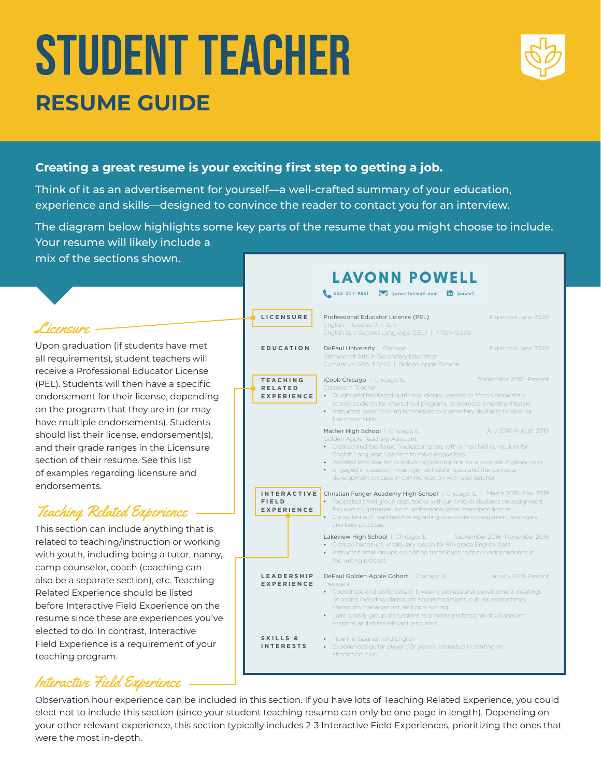# STUDENT TEACHER **RESUME GUIDE**



#### **Creating a great resume is your exciting first step to getting a job.**

Think of it as an advertisement for yourself—a well-crafted summary of your education, experience and skills—designed to convince the reader to contact you for an interview.

The diagram below highlights some key parts of the resume that you might choose to include. Your resume will likely include a

mix of the sections shown.

#### Licensure -

Upon graduation (if students have met all requirements), student teachers will receive a Professional Educator License (PEL). Students will then have a specific endorsement for their license, depending on the program that they are in (or may have multiple endorsements). Students should list their license, endorsement(s), and their grade ranges in the Licensure section of their resume. See this list of examples regarding licensure and endorsements.

### Teaching Related Experience

This section can include anything that is related to teaching/instruction or working with youth, including being a tutor, nanny, camp counselor, coach (coaching can also be a separate section), etc. Teaching Related Experience should be listed before Interactive Field Experience on the resume since these are experiences you've elected to do. In contrast, Interactive Field Experience is a requirement of your teaching program.

### Interactive Field Experience

**LAVONN POWELL** 

|                                                         | 555-227-9841 M Ipowelleemail.com in Ipowell                                                                                                                                                                                                                                                                                                                                                                                                 |                               |  |
|---------------------------------------------------------|---------------------------------------------------------------------------------------------------------------------------------------------------------------------------------------------------------------------------------------------------------------------------------------------------------------------------------------------------------------------------------------------------------------------------------------------|-------------------------------|--|
| LICENSURE                                               | Professional Educator License (PEL)<br>English   Grades 9th-12th<br>English as a Second Language (ESL)   K-12th Grade                                                                                                                                                                                                                                                                                                                       | Expected June 2020            |  |
| <b>EDUCATION</b>                                        | DePaul University   Chicago IL<br>Bachelor of Arts in Secondary Education<br>Cumulative GPA: 3.5/4.0   Golden Apple Scholar                                                                                                                                                                                                                                                                                                                 | Expected June 2020            |  |
| <b>TEACHING</b><br><b>RELATED</b><br><b>EXPERIENCE</b>  | September 2018 - Present<br>iCook Chicago   Chicago, IL<br>Classroom Teacher<br>• Taught and facilitated nutritional dietary lessons to fifteen elementary<br>school students for afterschool programs to promote a healthy lifestyle<br>Instructed basic cooking techniques to elementary students to develop<br>$\bullet$<br>fine motor skills                                                                                            |                               |  |
|                                                         | July 2018-August 2018<br>Mather High School   Chicago, IL<br>Golden Apple Teaching Assistant<br>• Created and facilitated five lesson plans with a modified curriculum for<br>English Language Learners to solve inequalities<br>• Assisted lead teacher in delivering lesson plans for a remedial Algebra class<br>Engaged in classroom management techniques and the curriculum<br>development process in communication with lead teacher |                               |  |
| <b>INTERACTIVE</b><br><b>FIELD</b><br><b>EXPERIENCE</b> | Christian Fenger Academy High School   Chicago, IL March 2018- May 2019<br>Facilitated small group discussions with junior-level students on assignment<br>focused on grammar use in professional email correspondences<br>$\bullet$<br>Consulted with lead teacher regarding classroom management strategies<br>and best practices                                                                                                         |                               |  |
|                                                         | Lakeview High School   Chicago, IL<br>• Created hands-on vocabulary lesson for 9th grade English class<br>• Instructed small groups on editing techniques to foster independence in<br>the writing process                                                                                                                                                                                                                                  | September 2018- November 2018 |  |
| <b>LEADERSHIP</b><br><b>EXPERIENCE</b>                  | DePaul Golden Apple Cohort   Chicago, IL<br>President<br>• Coordinate and participate in biweekly professional development meetings<br>on topics including classroom accommodations, cultural competency,<br>classroom management, and goal setting<br>• Lead weekly group discussions to process professional development<br>sessions and share relevant resources                                                                         | January 2018-Present          |  |
| SKILLS &<br><b>INTERESTS</b>                            | • Fluent in Spanish and English<br>Experienced guitar player (12+ years); interested in starting an<br>afterschool club                                                                                                                                                                                                                                                                                                                     |                               |  |

Observation hour experience can be included in this section. If you have lots of Teaching Related Experience, you could elect not to include this section (since your student teaching resume can only be one page in length). Depending on your other relevant experience, this section typically includes 2-3 Interactive Field Experiences, prioritizing the ones that were the most in-depth.